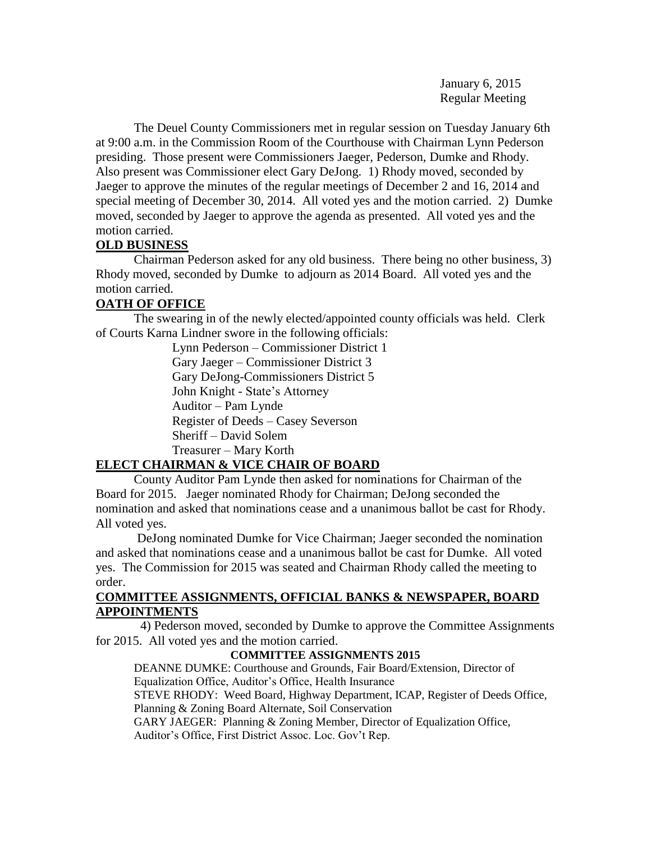January 6, 2015 Regular Meeting

The Deuel County Commissioners met in regular session on Tuesday January 6th at 9:00 a.m. in the Commission Room of the Courthouse with Chairman Lynn Pederson presiding. Those present were Commissioners Jaeger, Pederson, Dumke and Rhody. Also present was Commissioner elect Gary DeJong. 1) Rhody moved, seconded by Jaeger to approve the minutes of the regular meetings of December 2 and 16, 2014 and special meeting of December 30, 2014. All voted yes and the motion carried. 2) Dumke moved, seconded by Jaeger to approve the agenda as presented. All voted yes and the motion carried.

# **OLD BUSINESS**

Chairman Pederson asked for any old business. There being no other business, 3) Rhody moved, seconded by Dumke to adjourn as 2014 Board. All voted yes and the motion carried.

# **OATH OF OFFICE**

The swearing in of the newly elected/appointed county officials was held. Clerk of Courts Karna Lindner swore in the following officials:

> Lynn Pederson – Commissioner District 1 Gary Jaeger – Commissioner District 3 Gary DeJong-Commissioners District 5 John Knight - State's Attorney Auditor – Pam Lynde Register of Deeds – Casey Severson Sheriff – David Solem Treasurer – Mary Korth

# **ELECT CHAIRMAN & VICE CHAIR OF BOARD**

County Auditor Pam Lynde then asked for nominations for Chairman of the Board for 2015. Jaeger nominated Rhody for Chairman; DeJong seconded the nomination and asked that nominations cease and a unanimous ballot be cast for Rhody. All voted yes.

DeJong nominated Dumke for Vice Chairman; Jaeger seconded the nomination and asked that nominations cease and a unanimous ballot be cast for Dumke. All voted yes. The Commission for 2015 was seated and Chairman Rhody called the meeting to order.

# **COMMITTEE ASSIGNMENTS, OFFICIAL BANKS & NEWSPAPER, BOARD APPOINTMENTS**

 4) Pederson moved, seconded by Dumke to approve the Committee Assignments for 2015. All voted yes and the motion carried.

# **COMMITTEE ASSIGNMENTS 2015**

DEANNE DUMKE: Courthouse and Grounds, Fair Board/Extension, Director of Equalization Office, Auditor's Office, Health Insurance STEVE RHODY: Weed Board, Highway Department, ICAP, Register of Deeds Office,

Planning & Zoning Board Alternate, Soil Conservation

GARY JAEGER: Planning & Zoning Member, Director of Equalization Office, Auditor's Office, First District Assoc. Loc. Gov't Rep.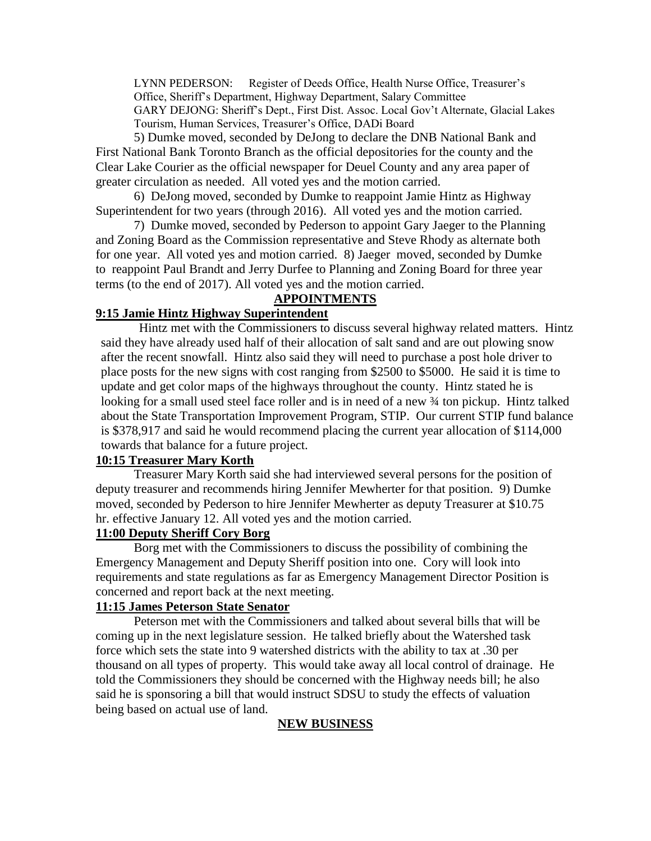LYNN PEDERSON: Register of Deeds Office, Health Nurse Office, Treasurer's Office, Sheriff's Department, Highway Department, Salary Committee GARY DEJONG: Sheriff's Dept., First Dist. Assoc. Local Gov't Alternate, Glacial Lakes Tourism, Human Services, Treasurer's Office, DADi Board

5) Dumke moved, seconded by DeJong to declare the DNB National Bank and First National Bank Toronto Branch as the official depositories for the county and the Clear Lake Courier as the official newspaper for Deuel County and any area paper of greater circulation as needed. All voted yes and the motion carried.

6) DeJong moved, seconded by Dumke to reappoint Jamie Hintz as Highway Superintendent for two years (through 2016). All voted yes and the motion carried.

7) Dumke moved, seconded by Pederson to appoint Gary Jaeger to the Planning and Zoning Board as the Commission representative and Steve Rhody as alternate both for one year. All voted yes and motion carried. 8) Jaeger moved, seconded by Dumke to reappoint Paul Brandt and Jerry Durfee to Planning and Zoning Board for three year terms (to the end of 2017). All voted yes and the motion carried.

# **APPOINTMENTS**

## **9:15 Jamie Hintz Highway Superintendent**

Hintz met with the Commissioners to discuss several highway related matters. Hintz said they have already used half of their allocation of salt sand and are out plowing snow after the recent snowfall. Hintz also said they will need to purchase a post hole driver to place posts for the new signs with cost ranging from \$2500 to \$5000. He said it is time to update and get color maps of the highways throughout the county. Hintz stated he is looking for a small used steel face roller and is in need of a new ¾ ton pickup. Hintz talked about the State Transportation Improvement Program, STIP. Our current STIP fund balance is \$378,917 and said he would recommend placing the current year allocation of \$114,000 towards that balance for a future project.

## **10:15 Treasurer Mary Korth**

Treasurer Mary Korth said she had interviewed several persons for the position of deputy treasurer and recommends hiring Jennifer Mewherter for that position. 9) Dumke moved, seconded by Pederson to hire Jennifer Mewherter as deputy Treasurer at \$10.75 hr. effective January 12. All voted yes and the motion carried.

### **11:00 Deputy Sheriff Cory Borg**

Borg met with the Commissioners to discuss the possibility of combining the Emergency Management and Deputy Sheriff position into one. Cory will look into requirements and state regulations as far as Emergency Management Director Position is concerned and report back at the next meeting.

#### **11:15 James Peterson State Senator**

Peterson met with the Commissioners and talked about several bills that will be coming up in the next legislature session. He talked briefly about the Watershed task force which sets the state into 9 watershed districts with the ability to tax at .30 per thousand on all types of property. This would take away all local control of drainage. He told the Commissioners they should be concerned with the Highway needs bill; he also said he is sponsoring a bill that would instruct SDSU to study the effects of valuation being based on actual use of land.

# **NEW BUSINESS**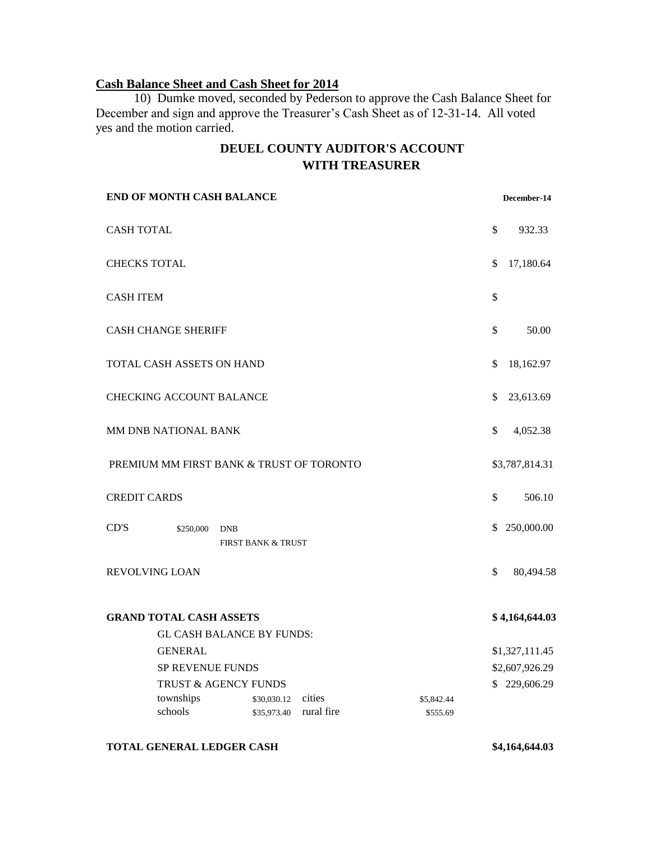# **Cash Balance Sheet and Cash Sheet for 2014**

10) Dumke moved, seconded by Pederson to approve the Cash Balance Sheet for December and sign and approve the Treasurer's Cash Sheet as of 12-31-14. All voted yes and the motion carried.

# **DEUEL COUNTY AUDITOR'S ACCOUNT WITH TREASURER**

|                                          | <b>END OF MONTH CASH BALANCE</b> |                                             |                      |                        |              | December-14    |
|------------------------------------------|----------------------------------|---------------------------------------------|----------------------|------------------------|--------------|----------------|
| <b>CASH TOTAL</b>                        |                                  |                                             |                      |                        | \$           | 932.33         |
| <b>CHECKS TOTAL</b>                      |                                  |                                             |                      |                        | \$           | 17,180.64      |
| <b>CASH ITEM</b>                         |                                  |                                             |                      |                        | \$           |                |
| <b>CASH CHANGE SHERIFF</b>               |                                  |                                             |                      |                        |              | 50.00          |
| TOTAL CASH ASSETS ON HAND                |                                  |                                             |                      |                        |              | 18,162.97      |
| <b>CHECKING ACCOUNT BALANCE</b>          |                                  |                                             |                      |                        |              | 23,613.69      |
| MM DNB NATIONAL BANK                     |                                  |                                             |                      |                        |              | 4,052.38       |
| PREMIUM MM FIRST BANK & TRUST OF TORONTO |                                  |                                             |                      |                        |              | \$3,787,814.31 |
| <b>CREDIT CARDS</b>                      |                                  |                                             |                      |                        | $\mathbb{S}$ | 506.10         |
| CD'S                                     | \$250,000                        | <b>DNB</b><br><b>FIRST BANK &amp; TRUST</b> |                      |                        | \$           | 250,000.00     |
| REVOLVING LOAN                           |                                  |                                             |                      |                        |              | 80,494.58      |
| <b>GRAND TOTAL CASH ASSETS</b>           |                                  |                                             |                      |                        |              | \$4,164,644.03 |
|                                          |                                  | <b>GL CASH BALANCE BY FUNDS:</b>            |                      |                        |              |                |
|                                          | <b>GENERAL</b>                   |                                             |                      |                        |              | \$1,327,111.45 |
|                                          | <b>SP REVENUE FUNDS</b>          |                                             |                      |                        |              | \$2,607,926.29 |
|                                          | TRUST & AGENCY FUNDS             |                                             |                      |                        |              | \$229,606.29   |
|                                          | townships<br>schools             | \$30,030.12<br>\$35,973.40                  | cities<br>rural fire | \$5,842.44<br>\$555.69 |              |                |
|                                          |                                  |                                             |                      |                        |              |                |

#### **TOTAL GENERAL LEDGER CASH \$4,164,644.03**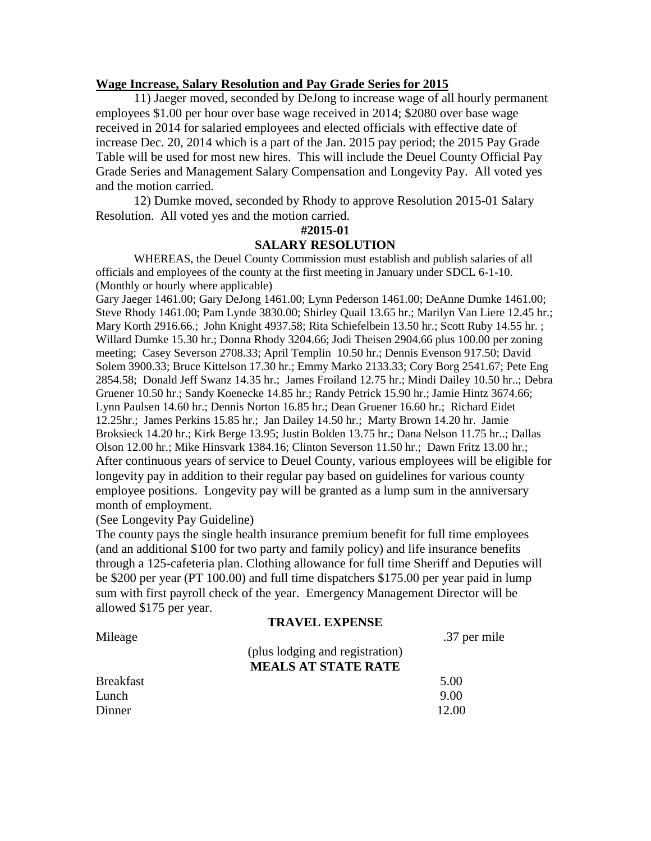#### **Wage Increase, Salary Resolution and Pay Grade Series for 2015**

11) Jaeger moved, seconded by DeJong to increase wage of all hourly permanent employees \$1.00 per hour over base wage received in 2014; \$2080 over base wage received in 2014 for salaried employees and elected officials with effective date of increase Dec. 20, 2014 which is a part of the Jan. 2015 pay period; the 2015 Pay Grade Table will be used for most new hires. This will include the Deuel County Official Pay Grade Series and Management Salary Compensation and Longevity Pay. All voted yes and the motion carried.

12) Dumke moved, seconded by Rhody to approve Resolution 2015-01 Salary Resolution. All voted yes and the motion carried.

#### **#2015-01**

#### **SALARY RESOLUTION**

WHEREAS, the Deuel County Commission must establish and publish salaries of all officials and employees of the county at the first meeting in January under SDCL 6-1-10. (Monthly or hourly where applicable)

Gary Jaeger 1461.00; Gary DeJong 1461.00; Lynn Pederson 1461.00; DeAnne Dumke 1461.00; Steve Rhody 1461.00; Pam Lynde 3830.00; Shirley Quail 13.65 hr.; Marilyn Van Liere 12.45 hr.; Mary Korth 2916.66.; John Knight 4937.58; Rita Schiefelbein 13.50 hr.; Scott Ruby 14.55 hr. ; Willard Dumke 15.30 hr.; Donna Rhody 3204.66; Jodi Theisen 2904.66 plus 100.00 per zoning meeting; Casey Severson 2708.33; April Templin 10.50 hr.; Dennis Evenson 917.50; David Solem 3900.33; Bruce Kittelson 17.30 hr.; Emmy Marko 2133.33; Cory Borg 2541.67; Pete Eng 2854.58; Donald Jeff Swanz 14.35 hr.; James Froiland 12.75 hr.; Mindi Dailey 10.50 hr..; Debra Gruener 10.50 hr.; Sandy Koenecke 14.85 hr.; Randy Petrick 15.90 hr.; Jamie Hintz 3674.66; Lynn Paulsen 14.60 hr.; Dennis Norton 16.85 hr.; Dean Gruener 16.60 hr.; Richard Eidet 12.25hr.; James Perkins 15.85 hr.; Jan Dailey 14.50 hr.; Marty Brown 14.20 hr. Jamie Broksieck 14.20 hr.; Kirk Berge 13.95; Justin Bolden 13.75 hr.; Dana Nelson 11.75 hr..; Dallas Olson 12.00 hr.; Mike Hinsvark 1384.16; Clinton Severson 11.50 hr.; Dawn Fritz 13.00 hr.; After continuous years of service to Deuel County, various employees will be eligible for longevity pay in addition to their regular pay based on guidelines for various county employee positions. Longevity pay will be granted as a lump sum in the anniversary month of employment.

(See Longevity Pay Guideline)

The county pays the single health insurance premium benefit for full time employees (and an additional \$100 for two party and family policy) and life insurance benefits through a 125-cafeteria plan. Clothing allowance for full time Sheriff and Deputies will be \$200 per year (PT 100.00) and full time dispatchers \$175.00 per year paid in lump sum with first payroll check of the year. Emergency Management Director will be allowed \$175 per year.

#### **TRAVEL EXPENSE**

| Mileage          |                                 | .37 per mile |
|------------------|---------------------------------|--------------|
|                  | (plus lodging and registration) |              |
|                  | <b>MEALS AT STATE RATE</b>      |              |
| <b>Breakfast</b> |                                 | 5.00         |
| Lunch            |                                 | 9.00         |
| Dinner           |                                 | 12.00        |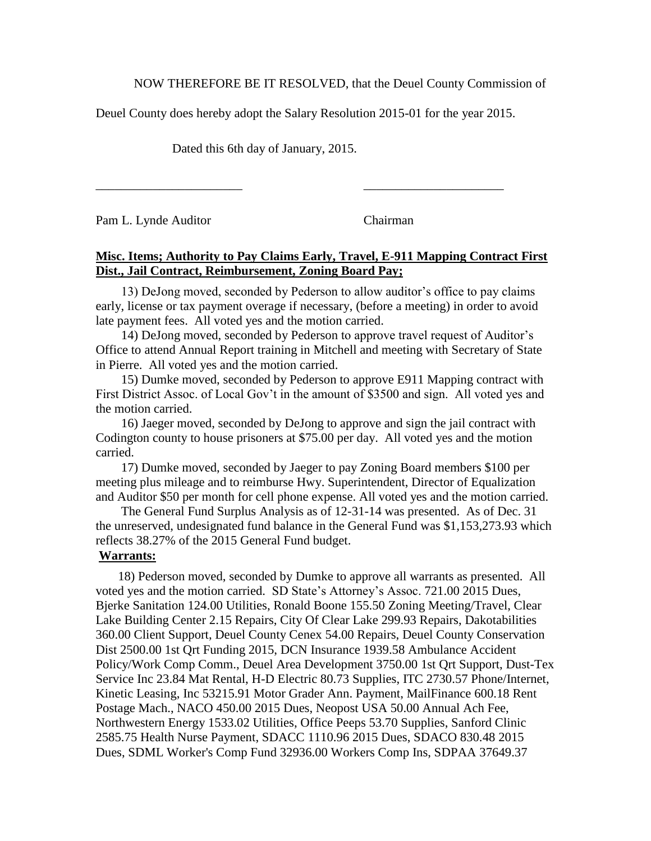NOW THEREFORE BE IT RESOLVED, that the Deuel County Commission of

Deuel County does hereby adopt the Salary Resolution 2015-01 for the year 2015.

\_\_\_\_\_\_\_\_\_\_\_\_\_\_\_\_\_\_\_\_\_\_\_ \_\_\_\_\_\_\_\_\_\_\_\_\_\_\_\_\_\_\_\_\_\_

Dated this 6th day of January, 2015.

Pam L. Lynde Auditor Chairman

## **Misc. Items; Authority to Pay Claims Early, Travel, E-911 Mapping Contract First Dist., Jail Contract, Reimbursement, Zoning Board Pay;**

 13) DeJong moved, seconded by Pederson to allow auditor's office to pay claims early, license or tax payment overage if necessary, (before a meeting) in order to avoid late payment fees. All voted yes and the motion carried.

 14) DeJong moved, seconded by Pederson to approve travel request of Auditor's Office to attend Annual Report training in Mitchell and meeting with Secretary of State in Pierre. All voted yes and the motion carried.

 15) Dumke moved, seconded by Pederson to approve E911 Mapping contract with First District Assoc. of Local Gov't in the amount of \$3500 and sign. All voted yes and the motion carried.

 16) Jaeger moved, seconded by DeJong to approve and sign the jail contract with Codington county to house prisoners at \$75.00 per day. All voted yes and the motion carried.

 17) Dumke moved, seconded by Jaeger to pay Zoning Board members \$100 per meeting plus mileage and to reimburse Hwy. Superintendent, Director of Equalization and Auditor \$50 per month for cell phone expense. All voted yes and the motion carried.

 The General Fund Surplus Analysis as of 12-31-14 was presented. As of Dec. 31 the unreserved, undesignated fund balance in the General Fund was \$1,153,273.93 which reflects 38.27% of the 2015 General Fund budget.

### **Warrants:**

 18) Pederson moved, seconded by Dumke to approve all warrants as presented. All voted yes and the motion carried. SD State's Attorney's Assoc. 721.00 2015 Dues, Bjerke Sanitation 124.00 Utilities, Ronald Boone 155.50 Zoning Meeting/Travel, Clear Lake Building Center 2.15 Repairs, City Of Clear Lake 299.93 Repairs, Dakotabilities 360.00 Client Support, Deuel County Cenex 54.00 Repairs, Deuel County Conservation Dist 2500.00 1st Qrt Funding 2015, DCN Insurance 1939.58 Ambulance Accident Policy/Work Comp Comm., Deuel Area Development 3750.00 1st Qrt Support, Dust-Tex Service Inc 23.84 Mat Rental, H-D Electric 80.73 Supplies, ITC 2730.57 Phone/Internet, Kinetic Leasing, Inc 53215.91 Motor Grader Ann. Payment, MailFinance 600.18 Rent Postage Mach., NACO 450.00 2015 Dues, Neopost USA 50.00 Annual Ach Fee, Northwestern Energy 1533.02 Utilities, Office Peeps 53.70 Supplies, Sanford Clinic 2585.75 Health Nurse Payment, SDACC 1110.96 2015 Dues, SDACO 830.48 2015 Dues, SDML Worker's Comp Fund 32936.00 Workers Comp Ins, SDPAA 37649.37